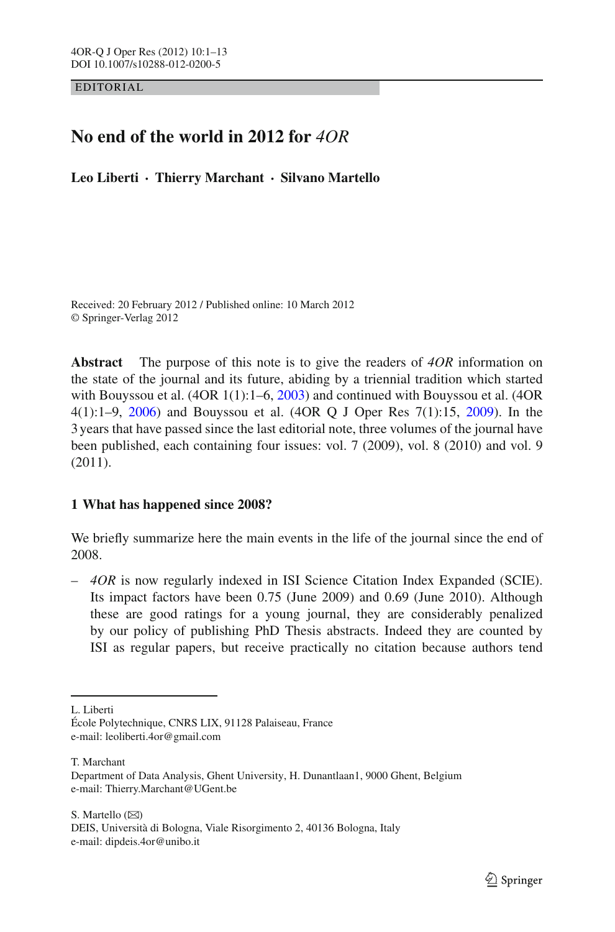EDITORIAL

# **No end of the world in 2012 for** *4OR*

**Leo Liberti · Thierry Marchant · Silvano Martello**

Received: 20 February 2012 / Published online: 10 March 2012 © Springer-Verlag 2012

**Abstract** The purpose of this note is to give the readers of *4OR* information on the state of the journal and its future, abiding by a triennial tradition which started with Bouyssou et al. (4OR 1(1):1–6, [2003](#page-11-0)) and continued with Bouyssou et al. (4OR 4(1):1–9, [2006\)](#page-11-1) and Bouyssou et al. (4OR Q J Oper Res 7(1):15, [2009](#page-11-2)). In the 3 years that have passed since the last editorial note, three volumes of the journal have been published, each containing four issues: vol. 7 (2009), vol. 8 (2010) and vol. 9 (2011).

# **1 What has happened since 2008?**

We briefly summarize here the main events in the life of the journal since the end of 2008.

– *4OR* is now regularly indexed in ISI Science Citation Index Expanded (SCIE). Its impact factors have been 0.75 (June 2009) and 0.69 (June 2010). Although these are good ratings for a young journal, they are considerably penalized by our policy of publishing PhD Thesis abstracts. Indeed they are counted by ISI as regular papers, but receive practically no citation because authors tend

L. Liberti

T. Marchant

S. Martello  $(\boxtimes)$ DEIS, Università di Bologna, Viale Risorgimento 2, 40136 Bologna, Italy e-mail: dipdeis.4or@unibo.it

École Polytechnique, CNRS LIX, 91128 Palaiseau, France e-mail: leoliberti.4or@gmail.com

Department of Data Analysis, Ghent University, H. Dunantlaan1, 9000 Ghent, Belgium e-mail: Thierry.Marchant@UGent.be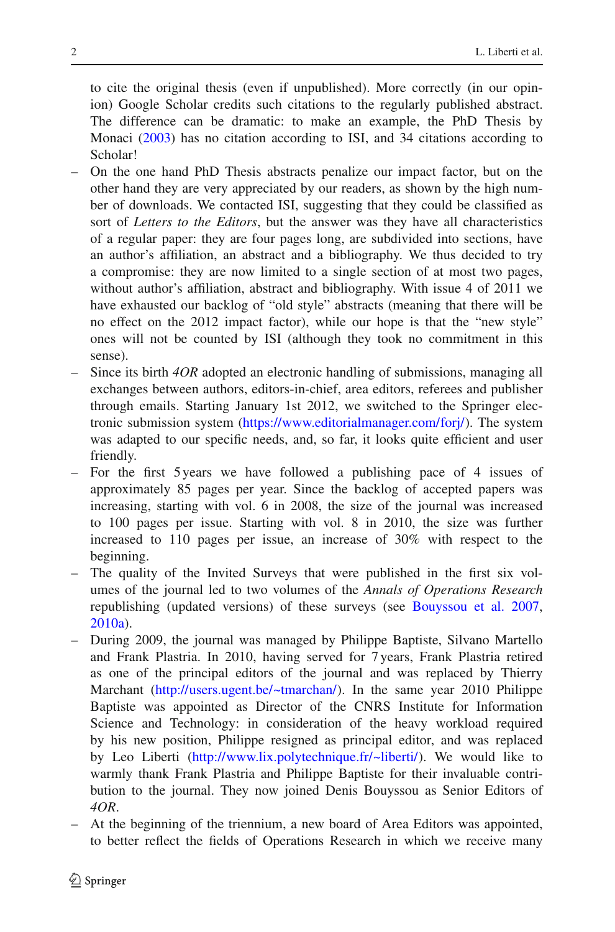to cite the original thesis (even if unpublished). More correctly (in our opinion) Google Scholar credits such citations to the regularly published abstract. The difference can be dramatic: to make an example, the PhD Thesis by Monaci [\(2003](#page-12-0)) has no citation according to ISI, and 34 citations according to Scholar!

- On the one hand PhD Thesis abstracts penalize our impact factor, but on the other hand they are very appreciated by our readers, as shown by the high number of downloads. We contacted ISI, suggesting that they could be classified as sort of *Letters to the Editors*, but the answer was they have all characteristics of a regular paper: they are four pages long, are subdivided into sections, have an author's affiliation, an abstract and a bibliography. We thus decided to try a compromise: they are now limited to a single section of at most two pages, without author's affiliation, abstract and bibliography. With issue 4 of 2011 we have exhausted our backlog of "old style" abstracts (meaning that there will be no effect on the 2012 impact factor), while our hope is that the "new style" ones will not be counted by ISI (although they took no commitment in this sense).
- Since its birth *4OR* adopted an electronic handling of submissions, managing all exchanges between authors, editors-in-chief, area editors, referees and publisher through emails. Starting January 1st 2012, we switched to the Springer electronic submission system [\(https://www.editorialmanager.com/forj/\)](https://www.editorialmanager.com/forj/). The system was adapted to our specific needs, and, so far, it looks quite efficient and user friendly.
- For the first 5 years we have followed a publishing pace of 4 issues of approximately 85 pages per year. Since the backlog of accepted papers was increasing, starting with vol. 6 in 2008, the size of the journal was increased to 100 pages per issue. Starting with vol. 8 in 2010, the size was further increased to 110 pages per issue, an increase of 30% with respect to the beginning.
- The quality of the Invited Surveys that were published in the first six volumes of the journal led to two volumes of the *Annals of Operations Research* republishing (updated versions) of these surveys (see [Bouyssou et al. 2007,](#page-11-3) [2010a\)](#page-11-4).
- During 2009, the journal was managed by Philippe Baptiste, Silvano Martello and Frank Plastria. In 2010, having served for 7 years, Frank Plastria retired as one of the principal editors of the journal and was replaced by Thierry Marchant [\(http://users.ugent.be/~tmarchan/\)](http://users.ugent.be/~tmarchan/). In the same year 2010 Philippe Baptiste was appointed as Director of the CNRS Institute for Information Science and Technology: in consideration of the heavy workload required by his new position, Philippe resigned as principal editor, and was replaced by Leo Liberti [\(http://www.lix.polytechnique.fr/~liberti/\)](http://www.lix.polytechnique.fr/~liberti/). We would like to warmly thank Frank Plastria and Philippe Baptiste for their invaluable contribution to the journal. They now joined Denis Bouyssou as Senior Editors of *4OR*.
- At the beginning of the triennium, a new board of Area Editors was appointed, to better reflect the fields of Operations Research in which we receive many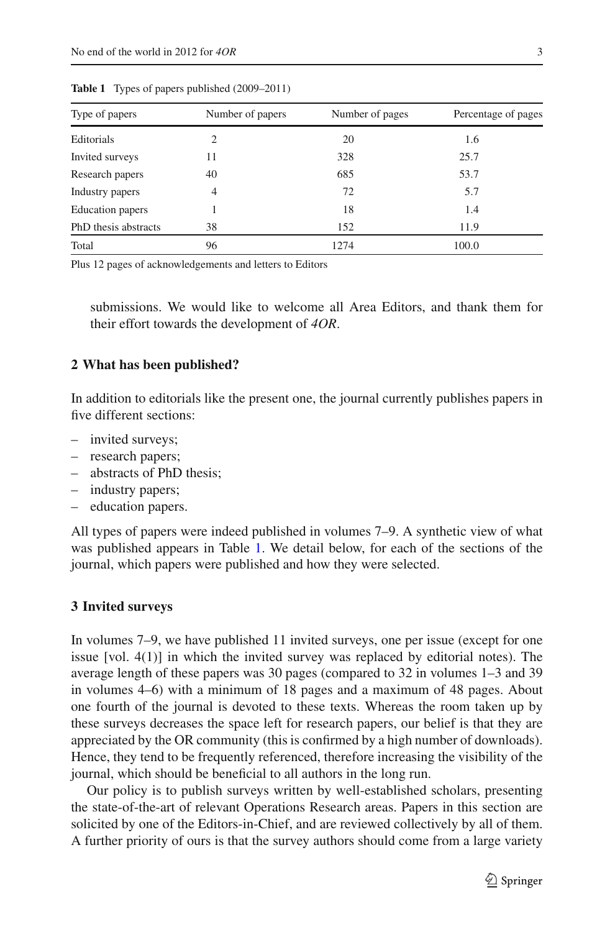<span id="page-2-0"></span>

| Type of papers       | Number of papers | Number of pages | Percentage of pages |
|----------------------|------------------|-----------------|---------------------|
| Editorials           | 2                | 20              | 1.6                 |
| Invited surveys      | 11               | 328             | 25.7                |
| Research papers      | 40               | 685             | 53.7                |
| Industry papers      | $\overline{4}$   | 72              | 5.7                 |
| Education papers     |                  | 18              | 1.4                 |
| PhD thesis abstracts | 38               | 152             | 11.9                |
| Total                | 96               | 1274            | 100.0               |

**Table 1** Types of papers published (2009–2011)

Plus 12 pages of acknowledgements and letters to Editors

submissions. We would like to welcome all Area Editors, and thank them for their effort towards the development of *4OR*.

#### **2 What has been published?**

In addition to editorials like the present one, the journal currently publishes papers in five different sections:

- invited surveys;
- research papers;
- abstracts of PhD thesis;
- industry papers;
- education papers.

All types of papers were indeed published in volumes 7–9. A synthetic view of what was published appears in Table [1.](#page-2-0) We detail below, for each of the sections of the journal, which papers were published and how they were selected.

#### **3 Invited surveys**

In volumes 7–9, we have published 11 invited surveys, one per issue (except for one issue [vol. 4(1)] in which the invited survey was replaced by editorial notes). The average length of these papers was 30 pages (compared to 32 in volumes 1–3 and 39 in volumes 4–6) with a minimum of 18 pages and a maximum of 48 pages. About one fourth of the journal is devoted to these texts. Whereas the room taken up by these surveys decreases the space left for research papers, our belief is that they are appreciated by the OR community (this is confirmed by a high number of downloads). Hence, they tend to be frequently referenced, therefore increasing the visibility of the journal, which should be beneficial to all authors in the long run.

Our policy is to publish surveys written by well-established scholars, presenting the state-of-the-art of relevant Operations Research areas. Papers in this section are solicited by one of the Editors-in-Chief, and are reviewed collectively by all of them. A further priority of ours is that the survey authors should come from a large variety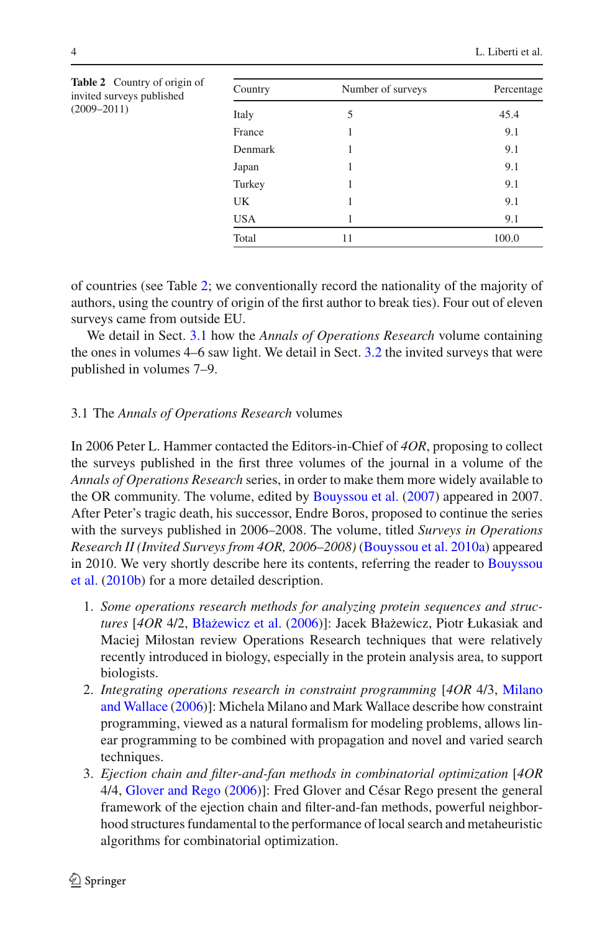<span id="page-3-0"></span>

| Table 2 Country of origin of<br>invited surveys published | Country                                     | Number of surveys | Percentage |
|-----------------------------------------------------------|---------------------------------------------|-------------------|------------|
| $(2009 - 2011)$                                           | Italy                                       | 5                 | 45.4       |
|                                                           | France<br>Denmark<br>Japan<br>Turkey<br>UK. |                   | 9.1        |
|                                                           |                                             |                   | 9.1        |
|                                                           |                                             |                   | 9.1        |
|                                                           |                                             |                   | 9.1        |
|                                                           |                                             |                   | 9.1        |
|                                                           | USA.                                        |                   | 9.1        |
|                                                           | Total                                       | 11                | 100.0      |

of countries (see Table [2;](#page-3-0) we conventionally record the nationality of the majority of authors, using the country of origin of the first author to break ties). Four out of eleven surveys came from outside EU.

We detail in Sect. [3.1](#page-3-1) how the *Annals of Operations Research* volume containing the ones in volumes 4–6 saw light. We detail in Sect. [3.2](#page-4-0) the invited surveys that were published in volumes 7–9.

#### <span id="page-3-1"></span>3.1 The *Annals of Operations Research* volumes

In 2006 Peter L. Hammer contacted the Editors-in-Chief of *4OR*, proposing to collect the surveys published in the first three volumes of the journal in a volume of the *Annals of Operations Research* series, in order to make them more widely available to the OR community. The volume, edited by [Bouyssou et al.](#page-11-3) [\(2007\)](#page-11-3) appeared in 2007. After Peter's tragic death, his successor, Endre Boros, proposed to continue the series with the surveys published in 2006–2008. The volume, titled *Surveys in Operations Research II (Invited Surveys from 4OR, 2006–2008)* [\(Bouyssou et al. 2010a\)](#page-11-4) appeared in 2[010.](#page-11-5) [We](#page-11-5) [very](#page-11-5) [shortly](#page-11-5) [describe](#page-11-5) [here](#page-11-5) [its](#page-11-5) [contents,](#page-11-5) [referring](#page-11-5) [the](#page-11-5) [reader](#page-11-5) [to](#page-11-5) Bouyssou et al. [\(2010b\)](#page-11-5) for a more detailed description.

- 1. *Some operations research methods for analyzing protein sequences and structures* [*4OR* 4/2, [Bła˙zewicz et al.](#page-11-6) [\(2006\)](#page-11-6)]: Jacek Bła˙zewicz, Piotr Łukasiak and Maciej Miłostan review Operations Research techniques that were relatively recently introduced in biology, especially in the protein analysis area, to support biologists.
- 2. *Integrating [operations](#page-12-1) [research](#page-12-1) [in](#page-12-1) [constraint](#page-12-1) [programming](#page-12-1)* [*4OR* 4/3, Milano and Wallace [\(2006](#page-12-1))]: Michela Milano and Mark Wallace describe how constraint programming, viewed as a natural formalism for modeling problems, allows linear programming to be combined with propagation and novel and varied search techniques.
- 3. *Ejection chain and filter-and-fan methods in combinatorial optimization* [*4OR* 4/4, [Glover and Rego](#page-11-7) [\(2006\)](#page-11-7)]: Fred Glover and César Rego present the general framework of the ejection chain and filter-and-fan methods, powerful neighborhood structures fundamental to the performance of local search and metaheuristic algorithms for combinatorial optimization.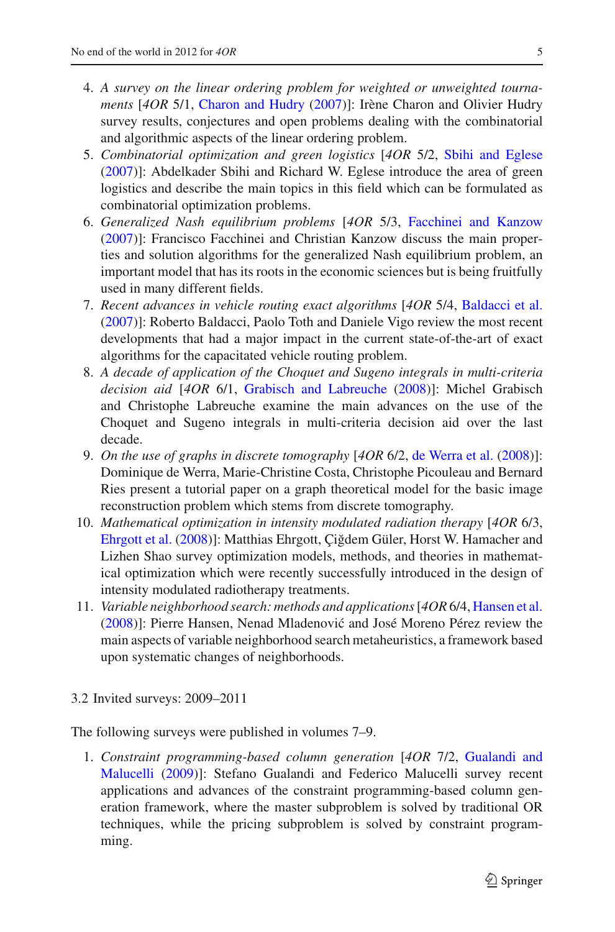- 4. *A survey on the linear ordering problem for weighted or unweighted tournaments* [*4OR* 5/1, [Charon and Hudry](#page-11-8) [\(2007](#page-11-8))]: Irène Charon and Olivier Hudry survey results, conjectures and open problems dealing with the combinatorial and algorithmic aspects of the linear ordering problem.
- 5. *Combinatorial optimization and green logistics* [*4OR* 5/2, [Sbihi and Eglese](#page-12-2) [\(2007](#page-12-2))]: Abdelkader Sbihi and Richard W. Eglese introduce the area of green logistics and describe the main topics in this field which can be formulated as combinatorial optimization problems.
- 6. *Generalized Nash equilibrium problems* [*4OR* 5/3, [Facchinei and Kanzow](#page-11-9) [\(2007](#page-11-9))]: Francisco Facchinei and Christian Kanzow discuss the main properties and solution algorithms for the generalized Nash equilibrium problem, an important model that has its roots in the economic sciences but is being fruitfully used in many different fields.
- 7. *Recent advances in vehicle routing exact algorithms* [*4OR* 5/4, [Baldacci et al.](#page-11-10) [\(2007](#page-11-10))]: Roberto Baldacci, Paolo Toth and Daniele Vigo review the most recent developments that had a major impact in the current state-of-the-art of exact algorithms for the capacitated vehicle routing problem.
- 8. *A decade of application of the Choquet and Sugeno integrals in multi-criteria decision aid* [*4OR* 6/1, [Grabisch and Labreuche](#page-11-11) [\(2008\)](#page-11-11)]: Michel Grabisch and Christophe Labreuche examine the main advances on the use of the Choquet and Sugeno integrals in multi-criteria decision aid over the last decade.
- 9. *On the use of graphs in discrete tomography* [*4OR* 6/2, [de Werra et al.](#page-11-12) [\(2008\)](#page-11-12)]: Dominique de Werra, Marie-Christine Costa, Christophe Picouleau and Bernard Ries present a tutorial paper on a graph theoretical model for the basic image reconstruction problem which stems from discrete tomography.
- 10. *Mathematical optimization in intensity modulated radiation therapy* [*4OR* 6/3, [Ehrgott et al.](#page-11-13) [\(2008\)](#page-11-13)]: Matthias Ehrgott, Çiğdem Güler, Horst W. Hamacher and Lizhen Shao survey optimization models, methods, and theories in mathematical optimization which were recently successfully introduced in the design of intensity modulated radiotherapy treatments.
- 11. *Variable neighborhood search: methods and applications*[*4OR* 6/4, [Hansen et al.](#page-11-14) [\(2008](#page-11-14))]: Pierre Hansen, Nenad Mladenović and José Moreno Pérez review the main aspects of variable neighborhood search metaheuristics, a framework based upon systematic changes of neighborhoods.
- <span id="page-4-0"></span>3.2 Invited surveys: 2009–2011

The following surveys were published in volumes 7–9.

1. *Constrai[nt](#page-11-15) [programming-based](#page-11-15) [column](#page-11-15) [generation](#page-11-15)* [*4OR* 7/2, Gualandi and Malucelli [\(2009](#page-11-15))]: Stefano Gualandi and Federico Malucelli survey recent applications and advances of the constraint programming-based column generation framework, where the master subproblem is solved by traditional OR techniques, while the pricing subproblem is solved by constraint programming.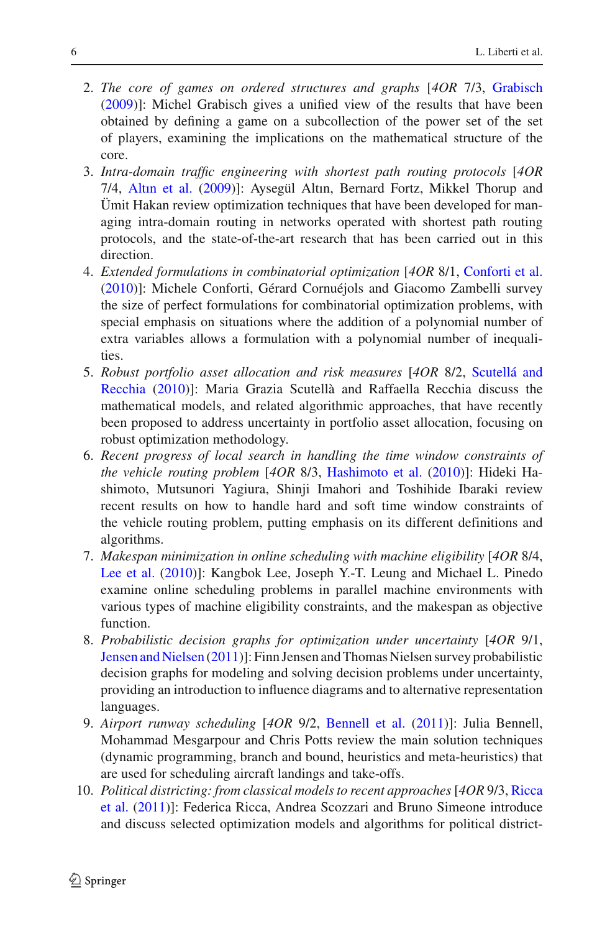- 2. *The core of games on ordered structures and graphs* [*4OR* 7/3, [Grabisch](#page-11-16) [\(2009](#page-11-16))]: Michel Grabisch gives a unified view of the results that have been obtained by defining a game on a subcollection of the power set of the set of players, examining the implications on the mathematical structure of the core.
- 3. *Intra-domain traffic engineering with shortest path routing protocols* [*4OR* 7/4, [Altın et al.](#page-11-17) [\(2009](#page-11-17))]: Aysegül Altın, Bernard Fortz, Mikkel Thorup and Ümit Hakan review optimization techniques that have been developed for managing intra-domain routing in networks operated with shortest path routing protocols, and the state-of-the-art research that has been carried out in this direction.
- 4. *Extended formulations in combinatorial optimization* [*4OR* 8/1, [Conforti et al.](#page-11-18) [\(2010](#page-11-18))]: Michele Conforti, Gérard Cornuéjols and Giacomo Zambelli survey the size of perfect formulations for combinatorial optimization problems, with special emphasis on situations where the addition of a polynomial number of extra variables allows a formulation with a polynomial number of inequalities.
- 5. *Robust [portfolio](#page-12-3) [asset](#page-12-3) [allocation](#page-12-3) [and](#page-12-3) [risk](#page-12-3) [measures](#page-12-3)* [*4OR* 8/2, Scutellá and Recchia [\(2010](#page-12-3))]: Maria Grazia Scutellà and Raffaella Recchia discuss the mathematical models, and related algorithmic approaches, that have recently been proposed to address uncertainty in portfolio asset allocation, focusing on robust optimization methodology.
- 6. *Recent progress of local search in handling the time window constraints of the vehicle routing problem* [*4OR* 8/3, [Hashimoto et al.](#page-12-4) [\(2010](#page-12-4))]: Hideki Hashimoto, Mutsunori Yagiura, Shinji Imahori and Toshihide Ibaraki review recent results on how to handle hard and soft time window constraints of the vehicle routing problem, putting emphasis on its different definitions and algorithms.
- 7. *Makespan minimization in online scheduling with machine eligibility* [*4OR* 8/4, [Lee et al.](#page-12-5) [\(2010\)](#page-12-5)]: Kangbok Lee, Joseph Y.-T. Leung and Michael L. Pinedo examine online scheduling problems in parallel machine environments with various types of machine eligibility constraints, and the makespan as objective function.
- 8. *Probabilistic decision graphs for optimization under uncertainty* [*4OR* 9/1, [Jensen and Nielsen](#page-12-6) [\(2011\)](#page-12-6)]: Finn Jensen and Thomas Nielsen survey probabilistic decision graphs for modeling and solving decision problems under uncertainty, providing an introduction to influence diagrams and to alternative representation languages.
- 9. *Airport runway scheduling* [*4OR* 9/2, [Bennell et al.](#page-11-19) [\(2011\)](#page-11-19)]: Julia Bennell, Mohammad Mesgarpour and Chris Potts review the main solution techniques (dynamic programming, branch and bound, heuristics and meta-heuristics) that are used for scheduling aircraft landings and take-offs.
- 10. *Polit[ical](#page-12-7) [districting:](#page-12-7) [from](#page-12-7) [classical](#page-12-7) [models](#page-12-7) [to](#page-12-7) [recent](#page-12-7) [approaches](#page-12-7)* [*4OR* 9/3, Ricca et al. [\(2011](#page-12-7))]: Federica Ricca, Andrea Scozzari and Bruno Simeone introduce and discuss selected optimization models and algorithms for political district-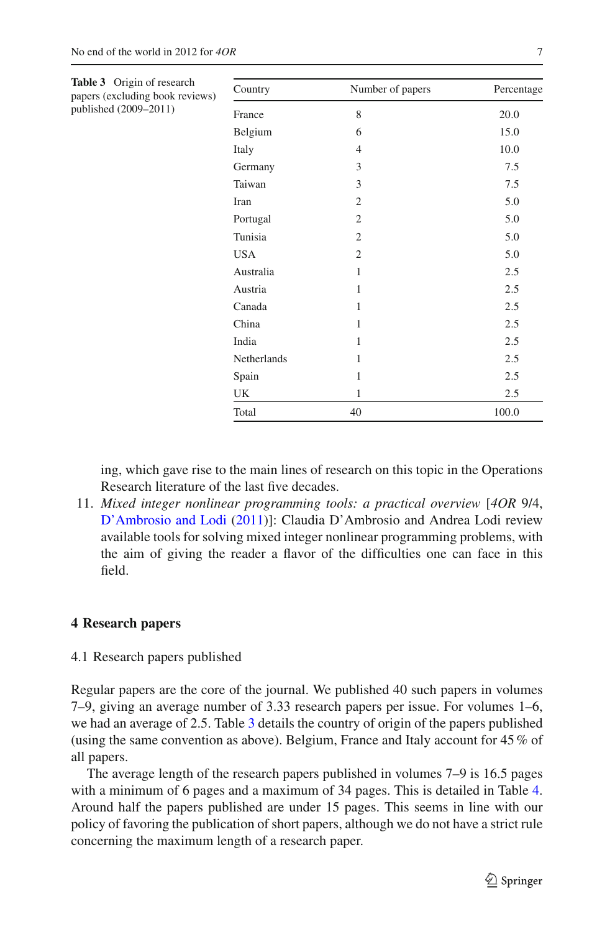<span id="page-6-0"></span>

| Table 3 Origin of research<br>papers (excluding book reviews) | Country     | Number of papers | Percentage |
|---------------------------------------------------------------|-------------|------------------|------------|
| published (2009–2011)                                         | France      | 8                | 20.0       |
|                                                               | Belgium     | 6                | 15.0       |
|                                                               | Italy       | $\overline{4}$   | 10.0       |
|                                                               | Germany     | 3                | 7.5        |
|                                                               | Taiwan      | 3                | 7.5        |
|                                                               | Iran        | $\overline{2}$   | 5.0        |
|                                                               | Portugal    | $\overline{2}$   | 5.0        |
|                                                               | Tunisia     | $\overline{2}$   | 5.0        |
|                                                               | <b>USA</b>  | $\overline{2}$   | 5.0        |
|                                                               | Australia   | 1                | 2.5        |
|                                                               | Austria     | 1                | 2.5        |
|                                                               | Canada      | 1                | 2.5        |
|                                                               | China       | 1                | 2.5        |
|                                                               | India       | 1                | 2.5        |
|                                                               | Netherlands | 1                | 2.5        |
|                                                               | Spain       | 1                | 2.5        |
|                                                               | UK          | 1                | 2.5        |
|                                                               | Total       | 40               | 100.0      |

ing, which gave rise to the main lines of research on this topic in the Operations Research literature of the last five decades.

11. *Mixed integer nonlinear programming tools: a practical overview* [*4OR* 9/4, [D'Ambrosio and Lodi](#page-11-20) [\(2011\)](#page-11-20)]: Claudia D'Ambrosio and Andrea Lodi review available tools for solving mixed integer nonlinear programming problems, with the aim of giving the reader a flavor of the difficulties one can face in this field.

# **4 Research papers**

4.1 Research papers published

Regular papers are the core of the journal. We published 40 such papers in volumes 7–9, giving an average number of 3.33 research papers per issue. For volumes 1–6, we had an average of 2.5. Table [3](#page-6-0) details the country of origin of the papers published (using the same convention as above). Belgium, France and Italy account for 45% of all papers.

The average length of the research papers published in volumes 7–9 is 16.5 pages with a minimum of 6 pages and a maximum of 34 pages. This is detailed in Table [4.](#page-7-0) Around half the papers published are under 15 pages. This seems in line with our policy of favoring the publication of short papers, although we do not have a strict rule concerning the maximum length of a research paper.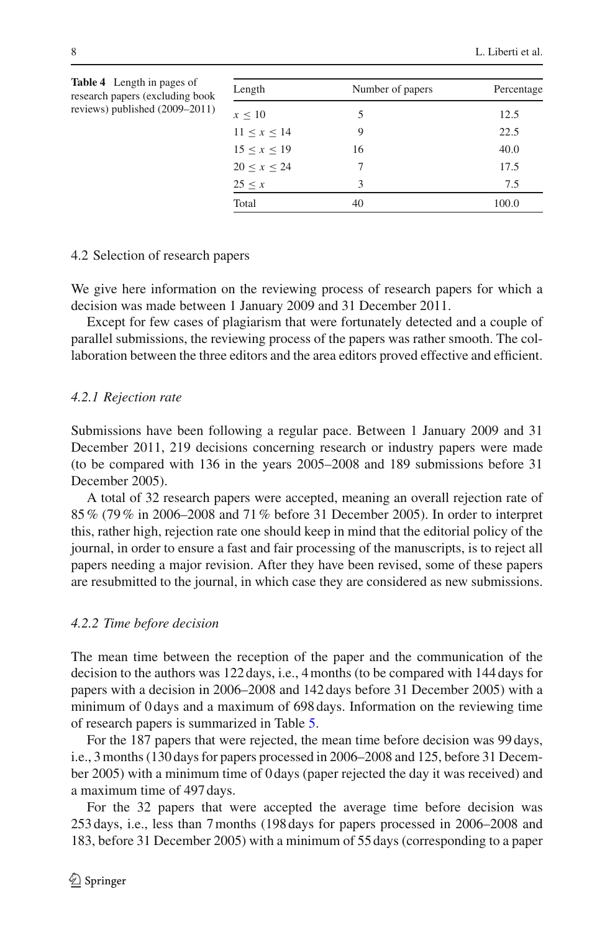| Length            | Number of papers | Percentage |
|-------------------|------------------|------------|
| $x \leq 10$       | 5                | 12.5       |
| $11 \le x \le 14$ | 9                | 22.5       |
| 15 < x < 19       | 16               | 40.0       |
| 20 < x < 24       |                  | 17.5       |
| 25 < x            | 3                | 7.5        |
| Total             | 40               | 100.0      |

<span id="page-7-0"></span>research papers (excluding book reviews) published (2009–2011)

**Table 4** Length in pages of

#### 4.2 Selection of research papers

We give here information on the reviewing process of research papers for which a decision was made between 1 January 2009 and 31 December 2011.

Except for few cases of plagiarism that were fortunately detected and a couple of parallel submissions, the reviewing process of the papers was rather smooth. The collaboration between the three editors and the area editors proved effective and efficient.

#### *4.2.1 Rejection rate*

Submissions have been following a regular pace. Between 1 January 2009 and 31 December 2011, 219 decisions concerning research or industry papers were made (to be compared with 136 in the years 2005–2008 and 189 submissions before 31 December 2005).

A total of 32 research papers were accepted, meaning an overall rejection rate of 85% (79% in 2006–2008 and 71% before 31 December 2005). In order to interpret this, rather high, rejection rate one should keep in mind that the editorial policy of the journal, in order to ensure a fast and fair processing of the manuscripts, is to reject all papers needing a major revision. After they have been revised, some of these papers are resubmitted to the journal, in which case they are considered as new submissions.

#### *4.2.2 Time before decision*

The mean time between the reception of the paper and the communication of the decision to the authors was 122 days, i.e., 4 months (to be compared with 144 days for papers with a decision in 2006–2008 and 142 days before 31 December 2005) with a minimum of 0 days and a maximum of 698 days. Information on the reviewing time of research papers is summarized in Table [5.](#page-8-0)

For the 187 papers that were rejected, the mean time before decision was 99 days, i.e., 3 months (130 days for papers processed in 2006–2008 and 125, before 31 December 2005) with a minimum time of 0 days (paper rejected the day it was received) and a maximum time of 497 days.

For the 32 papers that were accepted the average time before decision was 253 days, i.e., less than 7 months (198 days for papers processed in 2006–2008 and 183, before 31 December 2005) with a minimum of 55 days (corresponding to a paper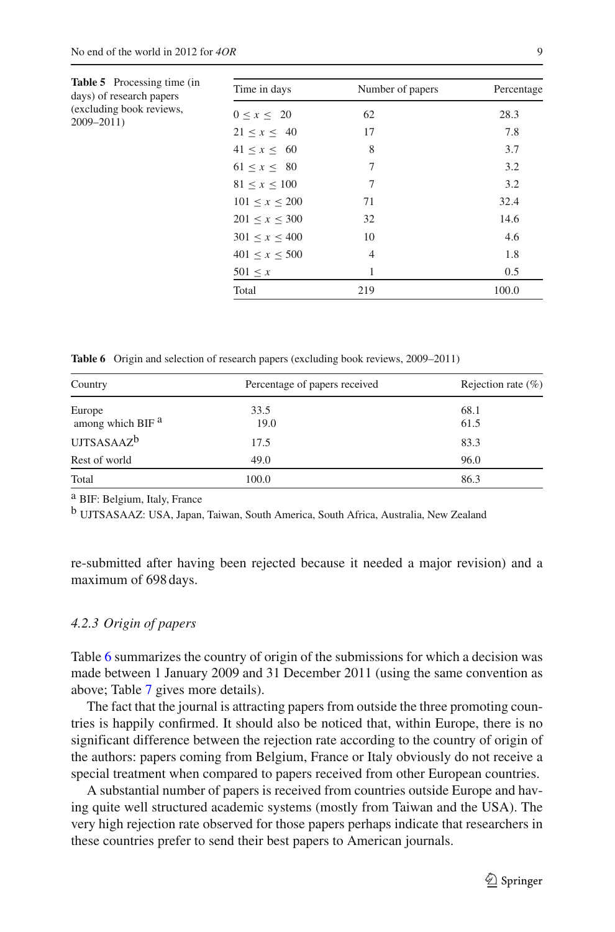<span id="page-8-0"></span>

| <b>Table 5</b> Processing time (in<br>days) of research papers<br>(excluding book reviews,<br>$2009 - 2011$ | Time in days        | Number of papers | Percentage |
|-------------------------------------------------------------------------------------------------------------|---------------------|------------------|------------|
|                                                                                                             | 0 < x < 20          | 62               | 28.3       |
|                                                                                                             | $21 \le x \le 40$   | 17               | 7.8        |
|                                                                                                             | 41 < x < 60         | 8                | 3.7        |
|                                                                                                             | 61 < x < 80         | 7                | 3.2        |
|                                                                                                             | 81 < x < 100        | 7                | 3.2        |
|                                                                                                             | 101 < x < 200       | 71               | 32.4       |
|                                                                                                             | $201 \le x \le 300$ | 32               | 14.6       |
|                                                                                                             | 301 < x < 400       | 10               | 4.6        |
|                                                                                                             | 401 < x < 500       | $\overline{4}$   | 1.8        |
|                                                                                                             | $501 \leq x$        |                  | 0.5        |
|                                                                                                             | Total               | 219              | 100.0      |

**Table 6** Origin and selection of research papers (excluding book reviews, 2009–2011)

<span id="page-8-1"></span>

| Country                                | Percentage of papers received | Rejection rate $(\% )$ |  |
|----------------------------------------|-------------------------------|------------------------|--|
| Europe<br>among which BIF <sup>a</sup> | 33.5<br>19.0                  | 68.1<br>61.5           |  |
| UJTSASAAZ <sup>b</sup>                 | 17.5                          | 83.3                   |  |
| Rest of world                          | 49.0                          | 96.0                   |  |
| Total                                  | 100.0                         | 86.3                   |  |

a BIF: Belgium, Italy, France

b UJTSASAAZ: USA, Japan, Taiwan, South America, South Africa, Australia, New Zealand

re-submitted after having been rejected because it needed a major revision) and a maximum of 698 days.

# *4.2.3 Origin of papers*

Table [6](#page-8-1) summarizes the country of origin of the submissions for which a decision was made between 1 January 2009 and 31 December 2011 (using the same convention as above; Table [7](#page-9-0) gives more details).

The fact that the journal is attracting papers from outside the three promoting countries is happily confirmed. It should also be noticed that, within Europe, there is no significant difference between the rejection rate according to the country of origin of the authors: papers coming from Belgium, France or Italy obviously do not receive a special treatment when compared to papers received from other European countries.

A substantial number of papers is received from countries outside Europe and having quite well structured academic systems (mostly from Taiwan and the USA). The very high rejection rate observed for those papers perhaps indicate that researchers in these countries prefer to send their best papers to American journals.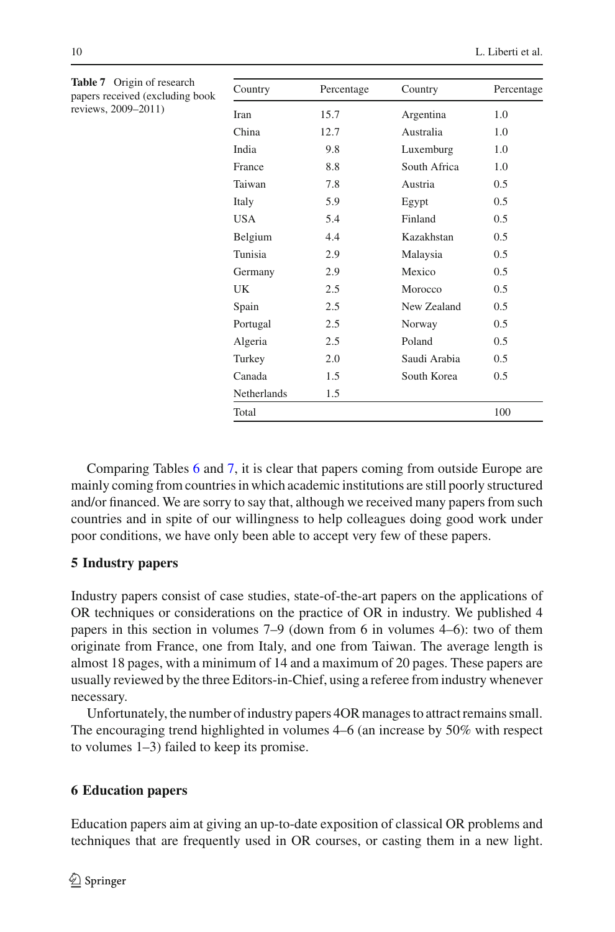<span id="page-9-0"></span>

| <b>Table 7</b> Origin of research<br>papers received (excluding book<br>reviews, 2009–2011) | Country     | Percentage | Country      | Percentage |
|---------------------------------------------------------------------------------------------|-------------|------------|--------------|------------|
|                                                                                             | Iran        | 15.7       | Argentina    | 1.0        |
|                                                                                             | China       | 12.7       | Australia    | 1.0        |
|                                                                                             | India       | 9.8        | Luxemburg    | 1.0        |
|                                                                                             | France      | 8.8        | South Africa | 1.0        |
|                                                                                             | Taiwan      | 7.8        | Austria      | 0.5        |
|                                                                                             | Italy       | 5.9        | Egypt        | 0.5        |
|                                                                                             | <b>USA</b>  | 5.4        | Finland      | 0.5        |
|                                                                                             | Belgium     | 4.4        | Kazakhstan   | 0.5        |
|                                                                                             | Tunisia     | 2.9        | Malaysia     | 0.5        |
|                                                                                             | Germany     | 2.9        | Mexico       | 0.5        |
|                                                                                             | UK          | 2.5        | Morocco      | 0.5        |
|                                                                                             | Spain       | 2.5        | New Zealand  | 0.5        |
|                                                                                             | Portugal    | 2.5        | Norway       | 0.5        |
|                                                                                             | Algeria     | 2.5        | Poland       | 0.5        |
|                                                                                             | Turkey      | 2.0        | Saudi Arabia | 0.5        |
|                                                                                             | Canada      | 1.5        | South Korea  | 0.5        |
|                                                                                             | Netherlands | 1.5        |              |            |
|                                                                                             | Total       |            |              | 100        |

Comparing Tables [6](#page-8-1) and [7,](#page-9-0) it is clear that papers coming from outside Europe are mainly coming from countries in which academic institutions are still poorly structured and/or financed. We are sorry to say that, although we received many papers from such countries and in spite of our willingness to help colleagues doing good work under poor conditions, we have only been able to accept very few of these papers.

### **5 Industry papers**

Industry papers consist of case studies, state-of-the-art papers on the applications of OR techniques or considerations on the practice of OR in industry. We published 4 papers in this section in volumes 7–9 (down from 6 in volumes 4–6): two of them originate from France, one from Italy, and one from Taiwan. The average length is almost 18 pages, with a minimum of 14 and a maximum of 20 pages. These papers are usually reviewed by the three Editors-in-Chief, using a referee from industry whenever necessary.

Unfortunately, the number of industry papers 4OR manages to attract remains small. The encouraging trend highlighted in volumes 4–6 (an increase by 50% with respect to volumes 1–3) failed to keep its promise.

# **6 Education papers**

Education papers aim at giving an up-to-date exposition of classical OR problems and techniques that are frequently used in OR courses, or casting them in a new light.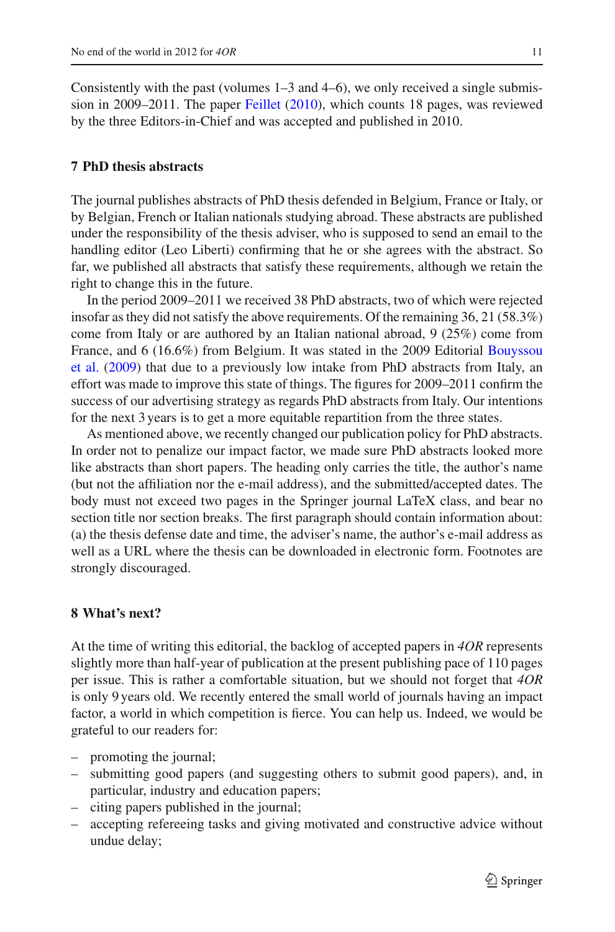Consistently with the past (volumes  $1-3$  and  $4-6$ ), we only received a single submission in 2009–2011. The paper [Feillet](#page-11-21) [\(2010](#page-11-21)), which counts 18 pages, was reviewed by the three Editors-in-Chief and was accepted and published in 2010.

# **7 PhD thesis abstracts**

The journal publishes abstracts of PhD thesis defended in Belgium, France or Italy, or by Belgian, French or Italian nationals studying abroad. These abstracts are published under the responsibility of the thesis adviser, who is supposed to send an email to the handling editor (Leo Liberti) confirming that he or she agrees with the abstract. So far, we published all abstracts that satisfy these requirements, although we retain the right to change this in the future.

In the period 2009–2011 we received 38 PhD abstracts, two of which were rejected insofar as they did not satisfy the above requirements. Of the remaining  $36, 21 (58.3%)$ come from Italy or are authored by an Italian national abroad, 9 (25%) come from Fran[ce,](#page-11-2) [and](#page-11-2) [6](#page-11-2) [\(16.6%\)](#page-11-2) [from](#page-11-2) [Belgium.](#page-11-2) [It](#page-11-2) [was](#page-11-2) [stated](#page-11-2) [in](#page-11-2) [the](#page-11-2) [2009](#page-11-2) [Editorial](#page-11-2) Bouyssou et al. [\(2009\)](#page-11-2) that due to a previously low intake from PhD abstracts from Italy, an effort was made to improve this state of things. The figures for 2009–2011 confirm the success of our advertising strategy as regards PhD abstracts from Italy. Our intentions for the next 3 years is to get a more equitable repartition from the three states.

As mentioned above, we recently changed our publication policy for PhD abstracts. In order not to penalize our impact factor, we made sure PhD abstracts looked more like abstracts than short papers. The heading only carries the title, the author's name (but not the affiliation nor the e-mail address), and the submitted/accepted dates. The body must not exceed two pages in the Springer journal LaTeX class, and bear no section title nor section breaks. The first paragraph should contain information about: (a) the thesis defense date and time, the adviser's name, the author's e-mail address as well as a URL where the thesis can be downloaded in electronic form. Footnotes are strongly discouraged.

#### **8 What's next?**

At the time of writing this editorial, the backlog of accepted papers in *4OR* represents slightly more than half-year of publication at the present publishing pace of 110 pages per issue. This is rather a comfortable situation, but we should not forget that *4OR* is only 9 years old. We recently entered the small world of journals having an impact factor, a world in which competition is fierce. You can help us. Indeed, we would be grateful to our readers for:

- promoting the journal;
- submitting good papers (and suggesting others to submit good papers), and, in particular, industry and education papers;
- citing papers published in the journal;
- accepting refereeing tasks and giving motivated and constructive advice without undue delay;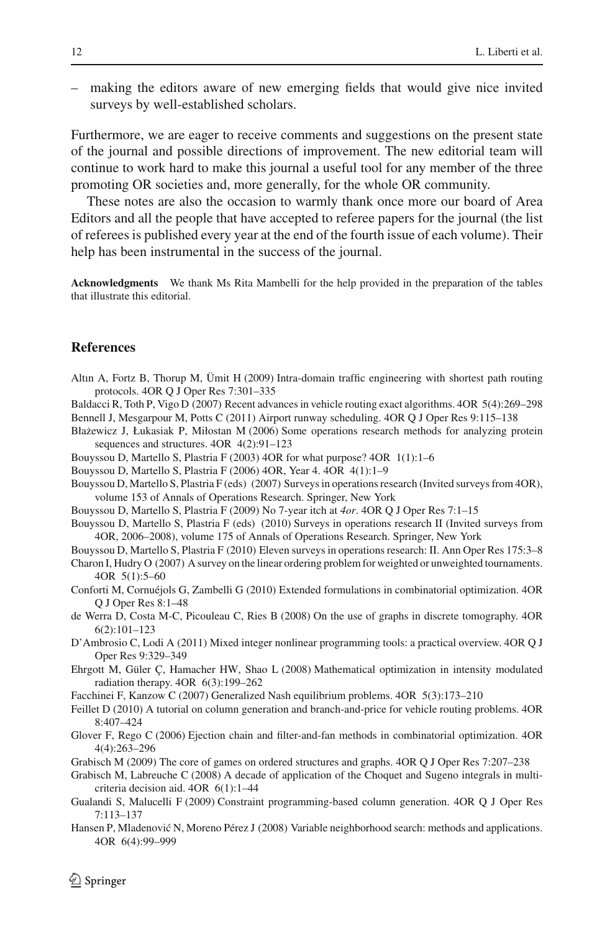– making the editors aware of new emerging fields that would give nice invited surveys by well-established scholars.

Furthermore, we are eager to receive comments and suggestions on the present state of the journal and possible directions of improvement. The new editorial team will continue to work hard to make this journal a useful tool for any member of the three promoting OR societies and, more generally, for the whole OR community.

These notes are also the occasion to warmly thank once more our board of Area Editors and all the people that have accepted to referee papers for the journal (the list of referees is published every year at the end of the fourth issue of each volume). Their help has been instrumental in the success of the journal.

**Acknowledgments** We thank Ms Rita Mambelli for the help provided in the preparation of the tables that illustrate this editorial.

#### **References**

- <span id="page-11-17"></span>Altın A, Fortz B, Thorup M, Ümit H (2009) Intra-domain traffic engineering with shortest path routing protocols. 4OR Q J Oper Res 7:301–335
- <span id="page-11-19"></span><span id="page-11-10"></span>Baldacci R, Toth P, Vigo D (2007) Recent advances in vehicle routing exact algorithms. 4OR 5(4):269–298 Bennell J, Mesgarpour M, Potts C (2011) Airport runway scheduling. 4OR Q J Oper Res 9:115–138
- <span id="page-11-6"></span>Błażewicz J, Łukasiak P, Miłostan M (2006) Some operations research methods for analyzing protein sequences and structures. 4OR 4(2):91–123
- <span id="page-11-0"></span>Bouyssou D, Martello S, Plastria F (2003) 4OR for what purpose? 4OR 1(1):1–6
- <span id="page-11-3"></span><span id="page-11-1"></span>Bouyssou D, Martello S, Plastria F (2006) 4OR, Year 4. 4OR 4(1):1–9
- Bouyssou D, Martello S, Plastria F (eds) (2007) Surveys in operations research (Invited surveys from 4OR), volume 153 of Annals of Operations Research. Springer, New York
- <span id="page-11-2"></span>Bouyssou D, Martello S, Plastria F (2009) No 7-year itch at *4or*. 4OR Q J Oper Res 7:1–15

<span id="page-11-4"></span>Bouyssou D, Martello S, Plastria F (eds) (2010) Surveys in operations research II (Invited surveys from 4OR, 2006–2008), volume 175 of Annals of Operations Research. Springer, New York

<span id="page-11-8"></span><span id="page-11-5"></span>Bouyssou D, Martello S, Plastria F (2010) Eleven surveys in operations research: II. Ann Oper Res 175:3–8 Charon I, Hudry O (2007) A survey on the linear ordering problem for weighted or unweighted tournaments. 4OR 5(1):5–60

<span id="page-11-18"></span>Conforti M, Cornuéjols G, Zambelli G (2010) Extended formulations in combinatorial optimization. 4OR Q J Oper Res 8:1–48

<span id="page-11-12"></span>de Werra D, Costa M-C, Picouleau C, Ries B (2008) On the use of graphs in discrete tomography. 4OR 6(2):101–123

<span id="page-11-20"></span>D'Ambrosio C, Lodi A (2011) Mixed integer nonlinear programming tools: a practical overview. 4OR Q J Oper Res 9:329–349

- <span id="page-11-13"></span>Ehrgott M, Güler Ç, Hamacher HW, Shao L (2008) Mathematical optimization in intensity modulated radiation therapy. 4OR 6(3):199–262
- <span id="page-11-9"></span>Facchinei F, Kanzow C (2007) Generalized Nash equilibrium problems. 4OR 5(3):173–210
- <span id="page-11-21"></span>Feillet D (2010) A tutorial on column generation and branch-and-price for vehicle routing problems. 4OR 8:407–424
- <span id="page-11-7"></span>Glover F, Rego C (2006) Ejection chain and filter-and-fan methods in combinatorial optimization. 4OR 4(4):263–296
- <span id="page-11-16"></span>Grabisch M (2009) The core of games on ordered structures and graphs. 4OR Q J Oper Res 7:207–238
- <span id="page-11-11"></span>Grabisch M, Labreuche C (2008) A decade of application of the Choquet and Sugeno integrals in multicriteria decision aid. 4OR 6(1):1–44
- <span id="page-11-15"></span>Gualandi S, Malucelli F (2009) Constraint programming-based column generation. 4OR Q J Oper Res 7:113–137
- <span id="page-11-14"></span>Hansen P, Mladenović N, Moreno Pérez J (2008) Variable neighborhood search: methods and applications. 4OR 6(4):99–999